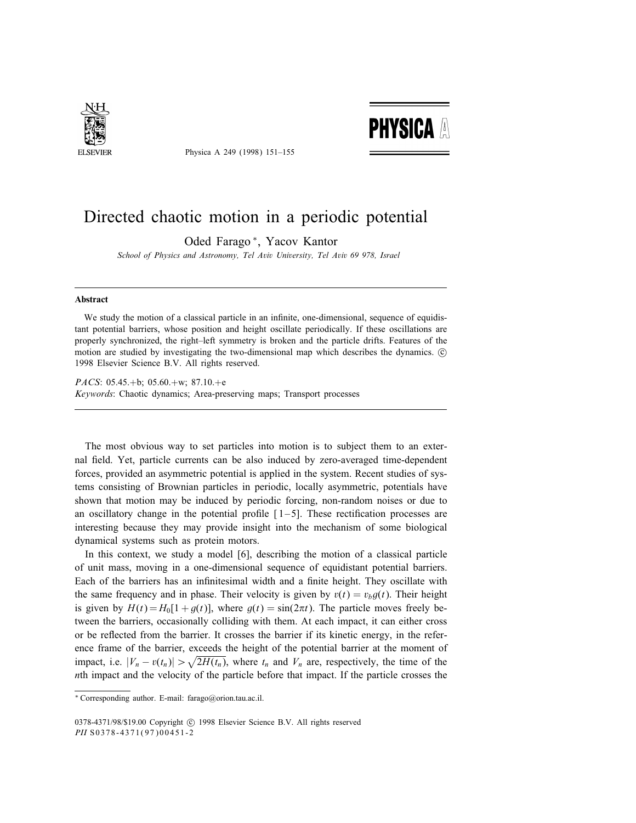

Physica A 249 (1998) 151–155



## Directed chaotic motion in a periodic potential

Oded Farago <sup>∗</sup>, Yacov Kantor

School of Physics and Astronomy, Tel Aviv University, Tel Aviv 69 978, Israel

## Abstract

We study the motion of a classical particle in an infinite, one-dimensional, sequence of equidistant potential barriers, whose position and height oscillate periodically. If these oscillations are properly synchronized, the right–left symmetry is broken and the particle drifts. Features of the motion are studied by investigating the two-dimensional map which describes the dynamics. c 1998 Elsevier Science B.V. All rights reserved.

PACS: 05.45.+b; 05.60.+w; 87.10.+e Keywords: Chaotic dynamics; Area-preserving maps; Transport processes

The most obvious way to set particles into motion is to subject them to an external field. Yet, particle currents can be also induced by zero-averaged time-dependent forces, provided an asymmetric potential is applied in the system. Recent studies of systems consisting of Brownian particles in periodic, locally asymmetric, potentials have shown that motion may be induced by periodic forcing, non-random noises or due to an oscillatory change in the potential profile  $[1-5]$ . These rectification processes are interesting because they may provide insight into the mechanism of some biological dynamical systems such as protein motors.

In this context, we study a model [6], describing the motion of a classical particle of unit mass, moving in a one-dimensional sequence of equidistant potential barriers. Each of the barriers has an infinitesimal width and a finite height. They oscillate with the same frequency and in phase. Their velocity is given by  $v(t) = v_b g(t)$ . Their height is given by  $H(t) = H_0[1 + q(t)]$ , where  $q(t) = \sin(2\pi t)$ . The particle moves freely between the barriers, occasionally colliding with them. At each impact, it can either cross or be reflected from the barrier. It crosses the barrier if its kinetic energy, in the reference frame of the barrier, exceeds the height of the potential barrier at the moment of impact, i.e.  $|V_n - v(t_n)| > \sqrt{2H(t_n)}$ , where  $t_n$  and  $V_n$  are, respectively, the time of the nth impact and the velocity of the particle before that impact. If the particle crosses the

<sup>∗</sup> Corresponding author. E-mail: farago@orion.tau.ac.il.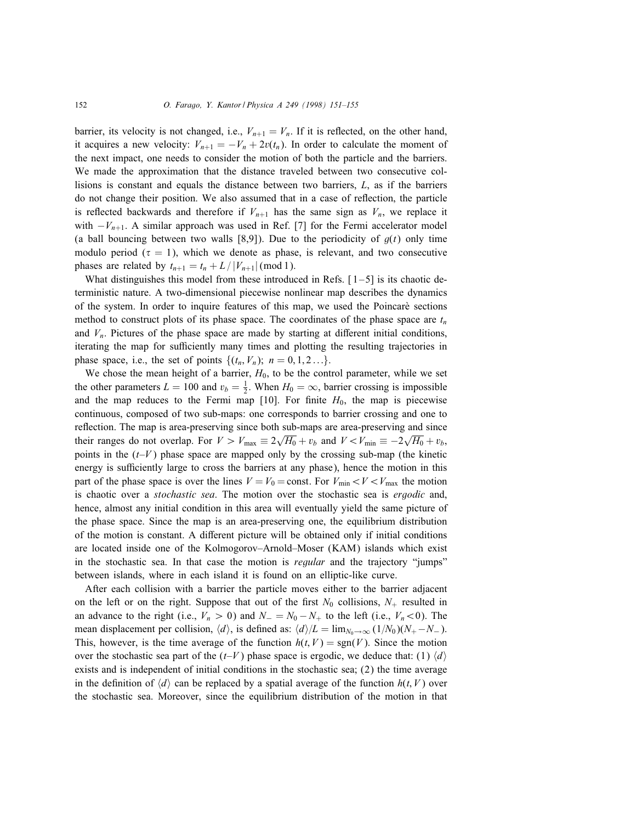barrier, its velocity is not changed, i.e.,  $V_{n+1} = V_n$ . If it is reflected, on the other hand, it acquires a new velocity:  $V_{n+1} = -V_n + 2v(t_n)$ . In order to calculate the moment of the next impact, one needs to consider the motion of both the particle and the barriers. We made the approximation that the distance traveled between two consecutive collisions is constant and equals the distance between two barriers, L, as if the barriers do not change their position. We also assumed that in a case of reflection, the particle is reflected backwards and therefore if  $V_{n+1}$  has the same sign as  $V_n$ , we replace it with  $-V_{n+1}$ . A similar approach was used in Ref. [7] for the Fermi accelerator model (a ball bouncing between two walls [8,9]). Due to the periodicity of  $g(t)$  only time modulo period ( $\tau = 1$ ), which we denote as phase, is relevant, and two consecutive phases are related by  $t_{n+1} = t_n + L / |V_{n+1}| \pmod{1}$ .

What distinguishes this model from these introduced in Refs.  $[1-5]$  is its chaotic deterministic nature. A two-dimensional piecewise nonlinear map describes the dynamics of the system. In order to inquire features of this map, we used the Poincare sections method to construct plots of its phase space. The coordinates of the phase space are  $t_n$ and  $V_n$ . Pictures of the phase space are made by starting at different initial conditions, iterating the map for sufficiently many times and plotting the resulting trajectories in phase space, i.e., the set of points  $\{(t_n, V_n); n = 0, 1, 2 \ldots\}.$ 

We chose the mean height of a barrier,  $H_0$ , to be the control parameter, while we set the other parameters  $L = 100$  and  $v_b = \frac{1}{2}$ . When  $H_0 = \infty$ , barrier crossing is impossible and the map reduces to the Fermi map  $[10]$ . For finite  $H_0$ , the map is piecewise continuous, composed of two sub-maps: one corresponds to barrier crossing and one to reflection. The map is area-preserving since both sub-maps are area-preserving and since their ranges do not overlap. For  $V > V_{\text{max}} \equiv 2\sqrt{H_0} + v_b$  and  $V < V_{\text{min}} \equiv -2\sqrt{H_0} + v_b$ , points in the  $(t-V)$  phase space are mapped only by the crossing sub-map (the kinetic energy is sufficiently large to cross the barriers at any phase), hence the motion in this part of the phase space is over the lines  $V = V_0 = \text{const.}$  For  $V_{\text{min}} < V < V_{\text{max}}$  the motion is chaotic over a *stochastic sea*. The motion over the stochastic sea is *ergodic* and, hence, almost any initial condition in this area will eventually yield the same picture of the phase space. Since the map is an area-preserving one, the equilibrium distribution of the motion is constant. A different picture will be obtained only if initial conditions are located inside one of the Kolmogorov–Arnold–Moser (KAM) islands which exist in the stochastic sea. In that case the motion is *regular* and the trajectory "jumps" between islands, where in each island it is found on an elliptic-like curve.

After each collision with a barrier the particle moves either to the barrier adjacent on the left or on the right. Suppose that out of the first  $N_0$  collisions,  $N_+$  resulted in an advance to the right (i.e.,  $V_n > 0$ ) and  $N_-=N_0-N_+$  to the left (i.e.,  $V_n < 0$ ). The mean displacement per collision,  $\langle d \rangle$ , is defined as:  $\langle d \rangle/L = \lim_{N_0 \to \infty} (1/N_0)(N_+ - N_-).$ This, however, is the time average of the function  $h(t, V) = \text{sgn}(V)$ . Since the motion over the stochastic sea part of the  $(t-V)$  phase space is ergodic, we deduce that: (1)  $\langle d \rangle$ exists and is independent of initial conditions in the stochastic sea; (2) the time average in the definition of  $\langle d \rangle$  can be replaced by a spatial average of the function  $h(t, V)$  over the stochastic sea. Moreover, since the equilibrium distribution of the motion in that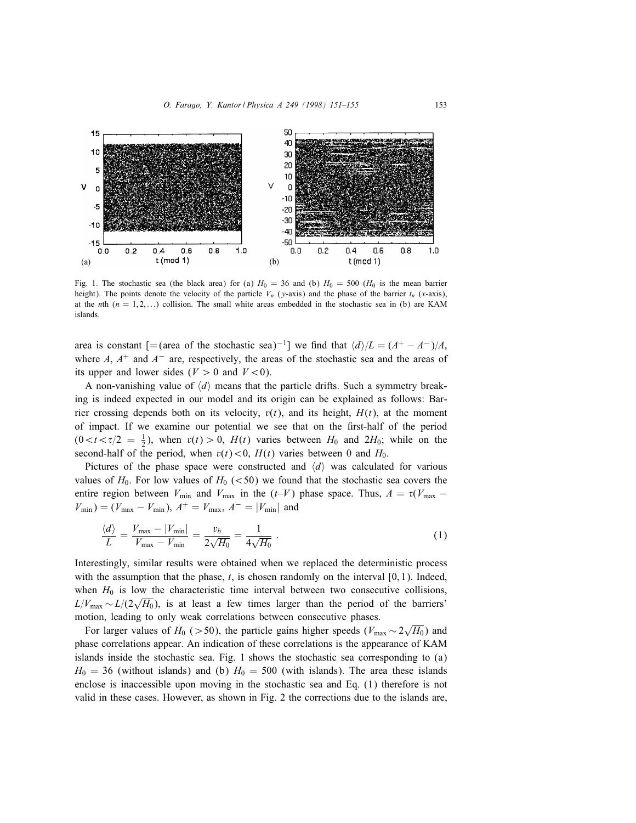

Fig. 1. The stochastic sea (the black area) for (a)  $H_0 = 36$  and (b)  $H_0 = 500$  ( $H_0$  is the mean barrier height). The points denote the velocity of the particle  $V_n$  (y-axis) and the phase of the barrier  $t_n$  (x-axis), at the nth  $(n = 1, 2, ...)$  collision. The small white areas embedded in the stochastic sea in (b) are KAM islands.

area is constant [= (area of the stochastic sea)<sup>-1</sup>] we find that  $\langle d \rangle/L = (A^+ - A^-)/A$ , where A,  $A^+$  and  $A^-$  are, respectively, the areas of the stochastic sea and the areas of its upper and lower sides ( $V > 0$  and  $V < 0$ ).

A non-vanishing value of  $\langle d \rangle$  means that the particle drifts. Such a symmetry breaking is indeed expected in our model and its origin can be explained as follows: Barrier crossing depends both on its velocity,  $v(t)$ , and its height,  $H(t)$ , at the moment of impact. If we examine our potential we see that on the first-half of the period  $(0 < t < \tau/2 = \frac{1}{2})$ , when  $v(t) > 0$ ,  $H(t)$  varies between  $H_0$  and  $2H_0$ ; while on the second-half of the period, when  $v(t) < 0$ ,  $H(t)$  varies between 0 and  $H_0$ .

Pictures of the phase space were constructed and  $\langle d \rangle$  was calculated for various values of  $H_0$ . For low values of  $H_0$  (<50) we found that the stochastic sea covers the entire region between  $V_{\text{min}}$  and  $V_{\text{max}}$  in the (t–V) phase space. Thus,  $A = \tau(V_{\text{max}} V_{\min}$ ) = ( $V_{\max} - V_{\min}$ ),  $A^{+} = V_{\max}$ ,  $A^{-} = |V_{\min}|$  and

$$
\frac{\langle d \rangle}{L} = \frac{V_{\text{max}} - |V_{\text{min}}|}{V_{\text{max}} - V_{\text{min}}} = \frac{v_b}{2\sqrt{H_0}} = \frac{1}{4\sqrt{H_0}}.
$$
\n(1)

Interestingly, similar results were obtained when we replaced the deterministic process with the assumption that the phase,  $t$ , is chosen randomly on the interval  $[0, 1)$ . Indeed, when  $H_0$  is low the characteristic time interval between two consecutive collisions,  $L/V_{\text{max}} \sim L/(2\sqrt{H_0})$ , is at least a few times larger than the period of the barriers' motion, leading to only weak correlations between consecutive phases.

For larger values of  $H_0$  (>50), the particle gains higher speeds ( $V_{\text{max}} \sim 2\sqrt{H_0}$ ) and phase correlations appear. An indication of these correlations is the appearance of KAM islands inside the stochastic sea. Fig. 1 shows the stochastic sea corresponding to (a)  $H_0 = 36$  (without islands) and (b)  $H_0 = 500$  (with islands). The area these islands enclose is inaccessible upon moving in the stochastic sea and Eq. (1) therefore is not valid in these cases. However, as shown in Fig. 2 the corrections due to the islands are,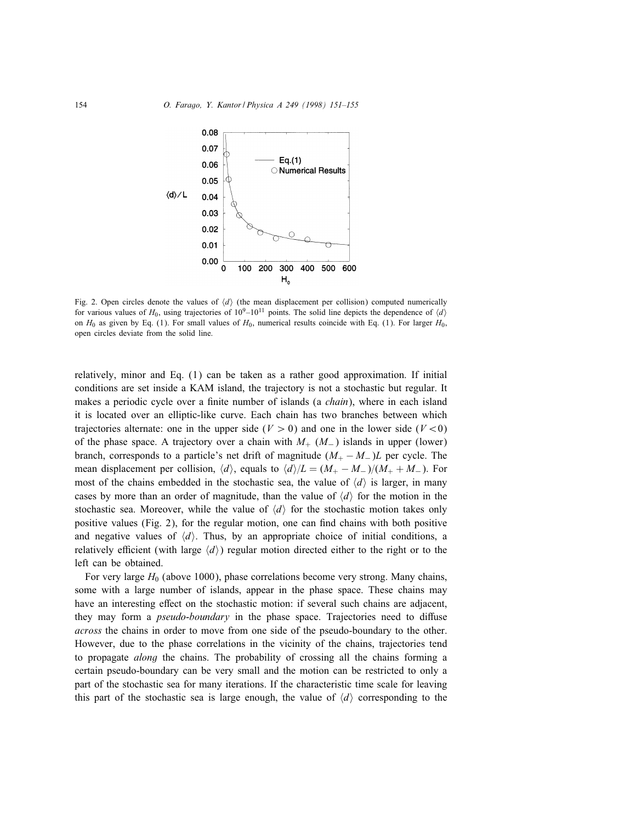

Fig. 2. Open circles denote the values of  $\langle d \rangle$  (the mean displacement per collision) computed numerically for various values of  $H_0$ , using trajectories of  $10^9$ – $10^{11}$  points. The solid line depicts the dependence of  $\langle d \rangle$ on  $H_0$  as given by Eq. (1). For small values of  $H_0$ , numerical results coincide with Eq. (1). For larger  $H_0$ , open circles deviate from the solid line.

relatively, minor and Eq. (1) can be taken as a rather good approximation. If initial conditions are set inside a KAM island, the trajectory is not a stochastic but regular. It makes a periodic cycle over a finite number of islands (a *chain*), where in each island it is located over an elliptic-like curve. Each chain has two branches between which trajectories alternate: one in the upper side ( $V > 0$ ) and one in the lower side ( $V < 0$ ) of the phase space. A trajectory over a chain with  $M_{+}$  ( $M_{-}$ ) islands in upper (lower) branch, corresponds to a particle's net drift of magnitude  $(M_{+} - M_{-})L$  per cycle. The mean displacement per collision,  $\langle d \rangle$ , equals to  $\langle d \rangle/L = (M_+ - M_-)/(M_+ + M_-)$ . For most of the chains embedded in the stochastic sea, the value of  $\langle d \rangle$  is larger, in many cases by more than an order of magnitude, than the value of  $\langle d \rangle$  for the motion in the stochastic sea. Moreover, while the value of  $\langle d \rangle$  for the stochastic motion takes only positive values (Fig. 2), for the regular motion, one can find chains with both positive and negative values of  $\langle d \rangle$ . Thus, by an appropriate choice of initial conditions, a relatively efficient (with large  $\langle d \rangle$ ) regular motion directed either to the right or to the left can be obtained.

For very large  $H_0$  (above 1000), phase correlations become very strong. Many chains, some with a large number of islands, appear in the phase space. These chains may have an interesting effect on the stochastic motion: if several such chains are adjacent, they may form a *pseudo-boundary* in the phase space. Trajectories need to diffuse across the chains in order to move from one side of the pseudo-boundary to the other. However, due to the phase correlations in the vicinity of the chains, trajectories tend to propagate *along* the chains. The probability of crossing all the chains forming a certain pseudo-boundary can be very small and the motion can be restricted to only a part of the stochastic sea for many iterations. If the characteristic time scale for leaving this part of the stochastic sea is large enough, the value of  $\langle d \rangle$  corresponding to the